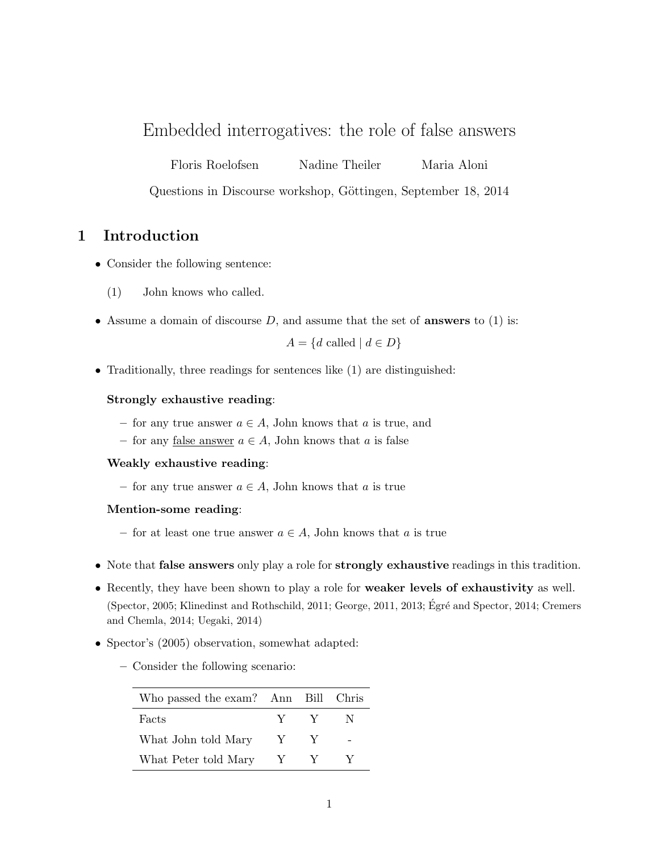# Embedded interrogatives: the role of false answers

Floris Roelofsen Nadine Theiler Maria Aloni

Questions in Discourse workshop, Göttingen, September 18, 2014

# 1 Introduction

- Consider the following sentence:
	- (1) John knows who called.
- Assume a domain of discourse  $D$ , and assume that the set of **answers** to  $(1)$  is:

 $A = \{d \text{ called } | d \in D\}$ 

• Traditionally, three readings for sentences like (1) are distinguished:

## Strongly exhaustive reading:

- for any true answer  $a \in A$ , John knows that a is true, and
- for any false answer  $a \in A$ , John knows that a is false

### Weakly exhaustive reading:

– for any true answer  $a \in A$ , John knows that a is true

### Mention-some reading:

- for at least one true answer  $a \in A$ , John knows that a is true
- Note that **false answers** only play a role for **strongly exhaustive** readings in this tradition.
- Recently, they have been shown to play a role for weaker levels of exhaustivity as well. (Spector, 2005; Klinedinst and Rothschild, 2011; George, 2011, 2013; Égré and Spector, 2014; Cremers and Chemla, 2014; Uegaki, 2014)
- Spector's (2005) observation, somewhat adapted:
	- Consider the following scenario:

| Who passed the exam? Ann Bill Chris |              |     |     |
|-------------------------------------|--------------|-----|-----|
| Facts                               |              | Y Y | -N- |
| What John told Mary                 | $\mathbf{Y}$ |     |     |
| What Peter told Mary                | $\mathbf{Y}$ |     |     |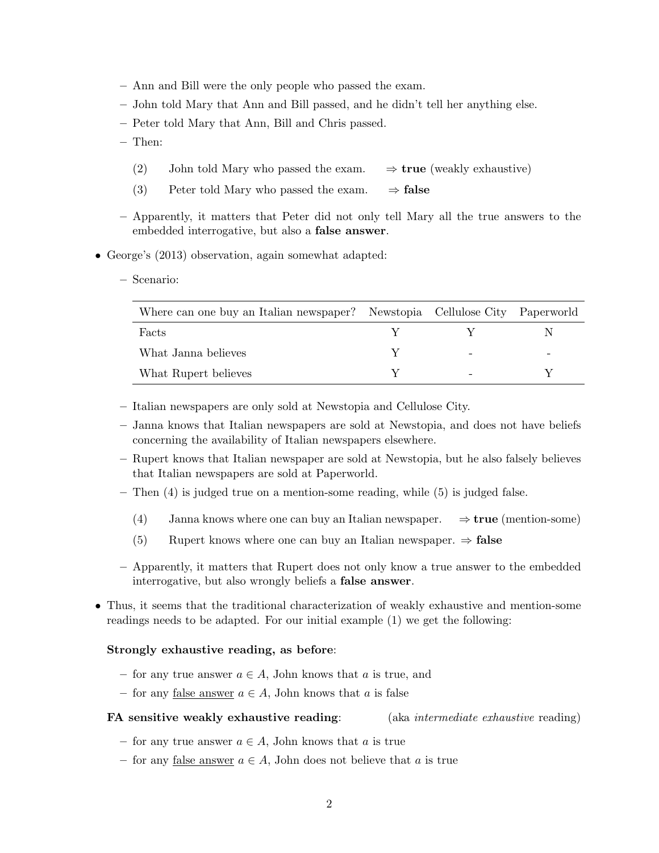- Ann and Bill were the only people who passed the exam.
- John told Mary that Ann and Bill passed, and he didn't tell her anything else.
- Peter told Mary that Ann, Bill and Chris passed.
- Then:
	- (2) John told Mary who passed the exam.  $\Rightarrow$  **true** (weakly exhaustive)
	- (3) Peter told Mary who passed the exam.  $\Rightarrow$  false
- Apparently, it matters that Peter did not only tell Mary all the true answers to the embedded interrogative, but also a false answer.
- George's (2013) observation, again somewhat adapted:
	- Scenario:

| Where can one buy an Italian newspaper? Newstopia Cellulose City Paperworld |  |  |
|-----------------------------------------------------------------------------|--|--|
| Facts                                                                       |  |  |
| What Janna believes                                                         |  |  |
| What Rupert believes                                                        |  |  |

- Italian newspapers are only sold at Newstopia and Cellulose City.
- Janna knows that Italian newspapers are sold at Newstopia, and does not have beliefs concerning the availability of Italian newspapers elsewhere.
- Rupert knows that Italian newspaper are sold at Newstopia, but he also falsely believes that Italian newspapers are sold at Paperworld.
- $-$  Then  $(4)$  is judged true on a mention-some reading, while  $(5)$  is judged false.
	- (4) Janna knows where one can buy an Italian newspaper.  $\Rightarrow$  true (mention-some)
	- (5) Rupert knows where one can buy an Italian newspaper.  $\Rightarrow$  false
- Apparently, it matters that Rupert does not only know a true answer to the embedded interrogative, but also wrongly beliefs a false answer.
- Thus, it seems that the traditional characterization of weakly exhaustive and mention-some readings needs to be adapted. For our initial example (1) we get the following:

#### Strongly exhaustive reading, as before:

- for any true answer  $a \in A$ , John knows that a is true, and
- for any <u>false answer</u>  $a \in A$ , John knows that a is false

## FA sensitive weakly exhaustive reading: (aka intermediate exhaustive reading)

- for any true answer  $a \in A$ , John knows that a is true
- for any false answer  $a \in A$ , John does not believe that a is true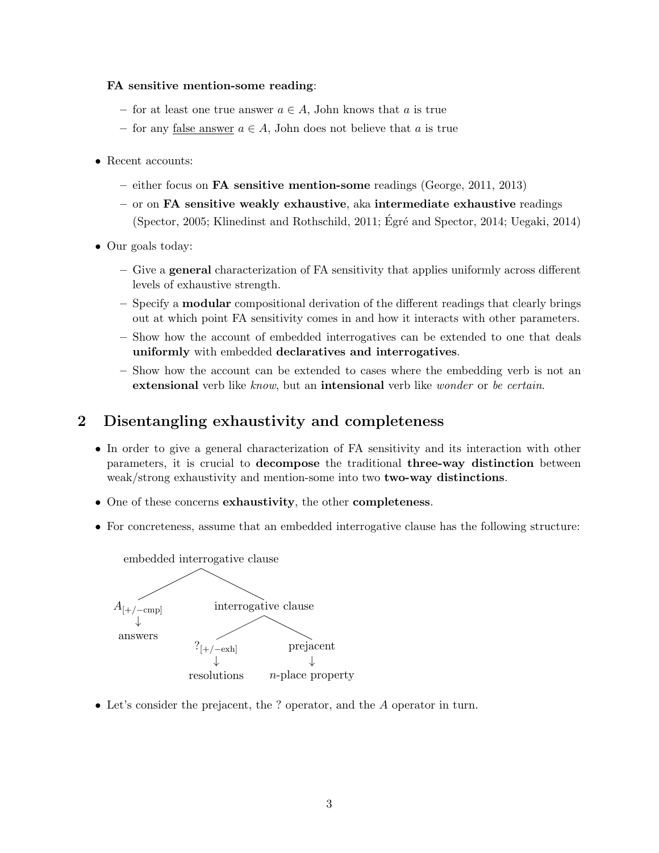## FA sensitive mention-some reading:

- for at least one true answer  $a \in A$ , John knows that a is true
- for any false answer  $a \in A$ , John does not believe that a is true
- Recent accounts:
	- either focus on **FA** sensitive mention-some readings (George, 2011, 2013)
	- $-$  or on FA sensitive weakly exhaustive, aka intermediate exhaustive readings (Spector, 2005; Klinedinst and Rothschild, 2011; Égré and Spector, 2014; Uegaki, 2014)
- Our goals today:
	- Give a general characterization of FA sensitivity that applies uniformly across different levels of exhaustive strength.
	- Specify a modular compositional derivation of the different readings that clearly brings out at which point FA sensitivity comes in and how it interacts with other parameters.
	- Show how the account of embedded interrogatives can be extended to one that deals uniformly with embedded declaratives and interrogatives.
	- Show how the account can be extended to cases where the embedding verb is not an extensional verb like know, but an intensional verb like wonder or be certain.

# 2 Disentangling exhaustivity and completeness

- In order to give a general characterization of FA sensitivity and its interaction with other parameters, it is crucial to decompose the traditional three-way distinction between weak/strong exhaustivity and mention-some into two two-way distinctions.
- One of these concerns exhaustivity, the other completeness.
- For concreteness, assume that an embedded interrogative clause has the following structure:



• Let's consider the prejacent, the ? operator, and the A operator in turn.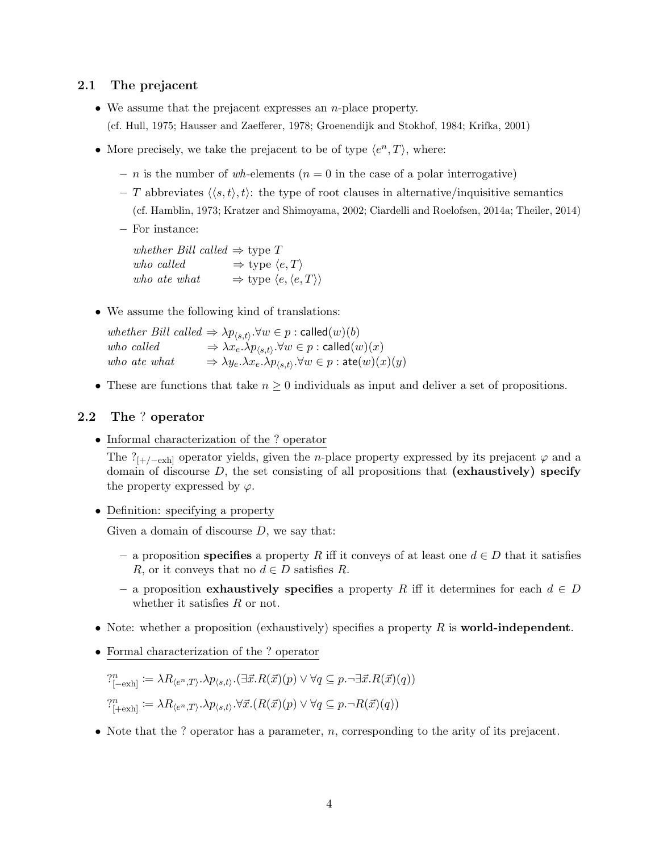## 2.1 The prejacent

- We assume that the prejacent expresses an  $n$ -place property. (cf. Hull, 1975; Hausser and Zaefferer, 1978; Groenendijk and Stokhof, 1984; Krifka, 2001)
- More precisely, we take the prejacent to be of type  $\langle e^n, T \rangle$ , where:
	- n is the number of wh-elements ( $n = 0$  in the case of a polar interrogative)
	- T abbreviates  $\langle \langle s, t \rangle, t \rangle$ : the type of root clauses in alternative/inquisitive semantics (cf. Hamblin, 1973; Kratzer and Shimoyama, 2002; Ciardelli and Roelofsen, 2014a; Theiler, 2014)
	- For instance:

whether Bill called  $\Rightarrow$  type T who called  $\Rightarrow$  type  $\langle e, T \rangle$ who ate what  $\Rightarrow$  type  $\langle e, \langle e, T \rangle \rangle$ 

• We assume the following kind of translations:

whether Bill called  $\Rightarrow \lambda p_{\langle s,t \rangle}$ . $\forall w \in p : \text{called}(w)(b)$ who called  $\Rightarrow \lambda x_e.\lambda p_{\langle s,t \rangle}.\forall w \in p : \textsf{called}(w)(x)$ who ate what  $\Rightarrow \lambda y_e. \lambda x_e. \lambda p_{\langle s,t \rangle}. \forall w \in p : \text{ate}(w)(x)(y)$ 

• These are functions that take  $n \geq 0$  individuals as input and deliver a set of propositions.

## 2.2 The ? operator

• Informal characterization of the ? operator

The ?<sub>[+/−exh]</sub> operator yields, given the *n*-place property expressed by its prejacent  $\varphi$  and a domain of discourse  $D$ , the set consisting of all propositions that (exhaustively) specify the property expressed by  $\varphi$ .

• Definition: specifying a property

Given a domain of discourse  $D$ , we say that:

- a proposition specifies a property R iff it conveys of at least one  $d \in D$  that it satisfies R, or it conveys that no  $d \in D$  satisfies R.
- a proposition exhaustively specifies a property R iff it determines for each  $d \in D$ whether it satisfies  $R$  or not.
- Note: whether a proposition (exhaustively) specifies a property  $R$  is **world-independent**.
- Formal characterization of the ? operator

$$
?_{[-\text{exh}]}^n := \lambda R_{\langle e^n, T \rangle} \cdot \lambda p_{\langle s, t \rangle} \cdot (\exists \vec{x}. R(\vec{x})(p) \lor \forall q \subseteq p \cdot \neg \exists \vec{x}. R(\vec{x})(q))
$$
  

$$
?_{[+\text{exh}]}^n := \lambda R_{\langle e^n, T \rangle} \cdot \lambda p_{\langle s, t \rangle} \cdot \forall \vec{x}. (R(\vec{x})(p) \lor \forall q \subseteq p \cdot \neg R(\vec{x})(q))
$$

• Note that the ? operator has a parameter,  $n$ , corresponding to the arity of its prejacent.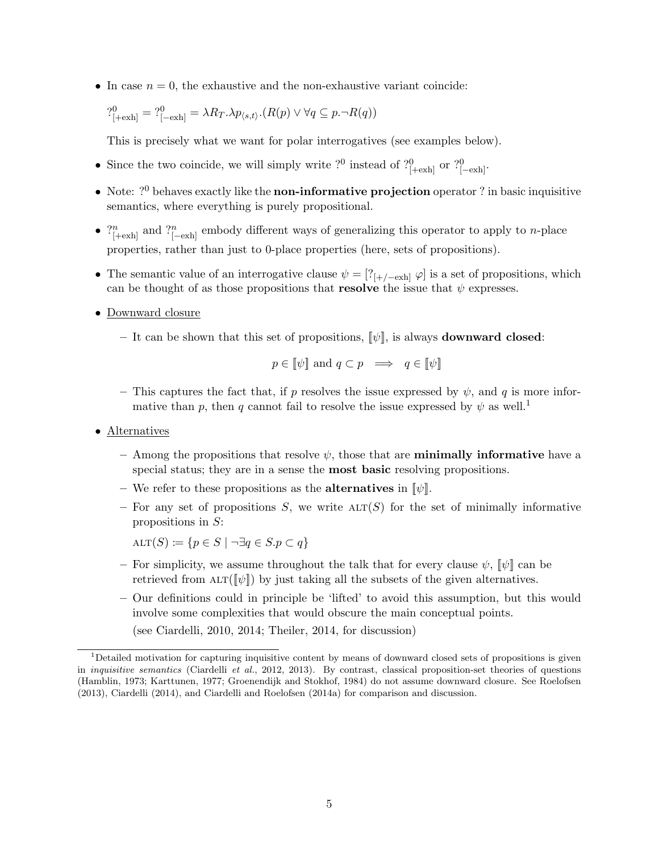• In case  $n = 0$ , the exhaustive and the non-exhaustive variant coincide:

$$
?_{[+\text{exh}]}^0 = ?_{[-\text{exh}]}^0 = \lambda R_T . \lambda p_{\langle s,t \rangle} . (R(p) \vee \forall q \subseteq p. \neg R(q))
$$

This is precisely what we want for polar interrogatives (see examples below).

- Since the two coincide, we will simply write ?<sup>0</sup> instead of ?<sup>0</sup><sub>[+exh]</sub> or ?<sup>0</sup><sub>[-exh]</sub>.
- Note:  $?^0$  behaves exactly like the non-informative projection operator ? in basic inquisitive semantics, where everything is purely propositional.
- $\gamma_{[+\infty]}^n$  and  $\gamma_{[-\infty]}^n$  embody different ways of generalizing this operator to apply to *n*-place properties, rather than just to 0-place properties (here, sets of propositions).
- The semantic value of an interrogative clause  $\psi = [?_{[+/-\text{exh}]} \varphi]$  is a set of propositions, which can be thought of as those propositions that **resolve** the issue that  $\psi$  expresses.
- Downward closure
	- It can be shown that this set of propositions,  $[\psi]$ , is always **downward closed**:

$$
p \in [\![\psi]\!]
$$
 and  $q \subset p \implies q \in [\![\psi]\!]$ 

- This captures the fact that, if p resolves the issue expressed by  $\psi$ , and q is more informative than p, then q cannot fail to resolve the issue expressed by  $\psi$  as well.<sup>1</sup>
- Alternatives
	- Among the propositions that resolve  $\psi$ , those that are **minimally informative** have a special status; they are in a sense the most basic resolving propositions.
	- We refer to these propositions as the **alternatives** in  $[\![\psi]\!]$ .
	- For any set of propositions S, we write  $\text{ALT}(S)$  for the set of minimally informative propositions in S:

 $\text{ALT}(S) := \{p \in S \mid \neg \exists q \in S \ldotp p \subset q\}$ 

- For simplicity, we assume throughout the talk that for every clause  $\psi$ ,  $\psi$  can be retrieved from  $\text{ALT}(\llbracket \psi \rrbracket)$  by just taking all the subsets of the given alternatives.
- Our definitions could in principle be 'lifted' to avoid this assumption, but this would involve some complexities that would obscure the main conceptual points.

(see Ciardelli, 2010, 2014; Theiler, 2014, for discussion)

 $1$ Detailed motivation for capturing inquisitive content by means of downward closed sets of propositions is given in inquisitive semantics (Ciardelli et al., 2012, 2013). By contrast, classical proposition-set theories of questions (Hamblin, 1973; Karttunen, 1977; Groenendijk and Stokhof, 1984) do not assume downward closure. See Roelofsen (2013), Ciardelli (2014), and Ciardelli and Roelofsen (2014a) for comparison and discussion.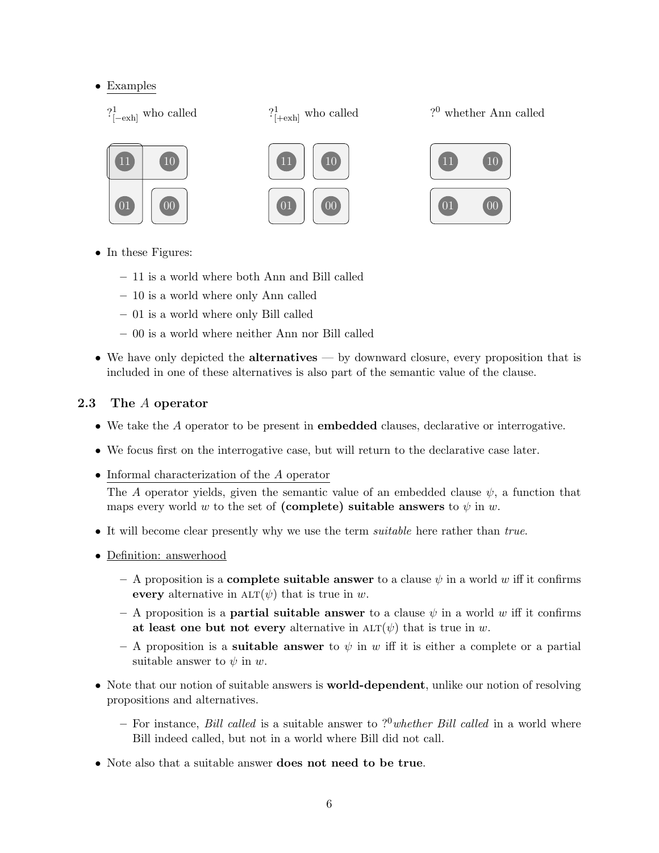## • Examples

 $?^1_{[-\text{exh}]}$  who called



? <sup>0</sup> whether Ann called







- In these Figures:
	- 11 is a world where both Ann and Bill called
	- 10 is a world where only Ann called
	- 01 is a world where only Bill called
	- 00 is a world where neither Ann nor Bill called
- We have only depicted the **alternatives** by downward closure, every proposition that is included in one of these alternatives is also part of the semantic value of the clause.

## 2.3 The A operator

- We take the A operator to be present in embedded clauses, declarative or interrogative.
- We focus first on the interrogative case, but will return to the declarative case later.
- Informal characterization of the A operator

The A operator yields, given the semantic value of an embedded clause  $\psi$ , a function that maps every world w to the set of (complete) suitable answers to  $\psi$  in w.

- It will become clear presently why we use the term *suitable* here rather than true.
- Definition: answerhood
	- A proposition is a **complete suitable answer** to a clause  $\psi$  in a world w iff it confirms every alternative in  $\text{ALT}(\psi)$  that is true in w.
	- A proposition is a **partial suitable answer** to a clause  $\psi$  in a world w iff it confirms at least one but not every alternative in  $ALT(\psi)$  that is true in w.
	- A proposition is a **suitable answer** to  $\psi$  in w iff it is either a complete or a partial suitable answer to  $\psi$  in  $w$ .
- Note that our notion of suitable answers is **world-dependent**, unlike our notion of resolving propositions and alternatives.
	- For instance, Bill called is a suitable answer to ?<sup>0</sup>whether Bill called in a world where Bill indeed called, but not in a world where Bill did not call.
- Note also that a suitable answer does not need to be true.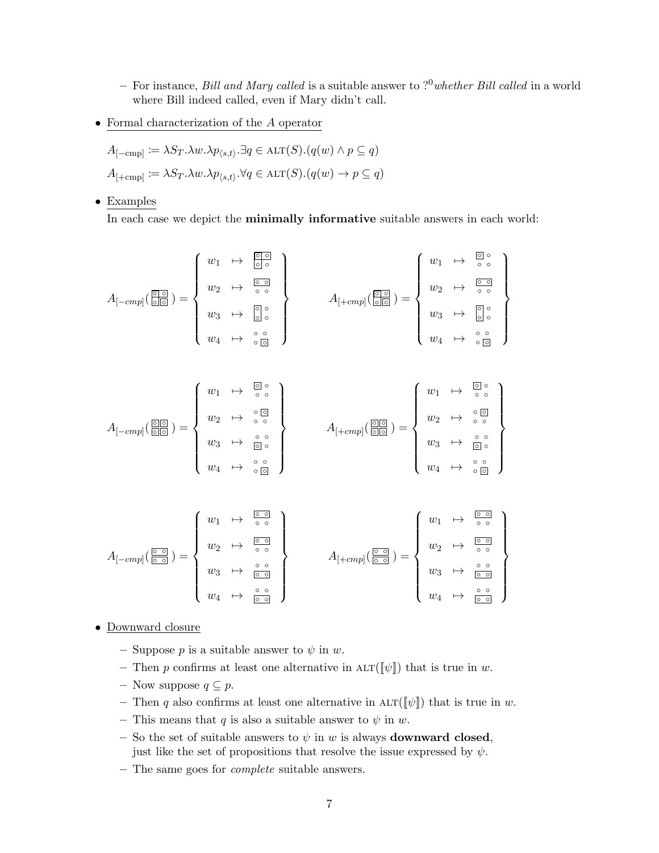- For instance, Bill and Mary called is a suitable answer to  $?^0$  whether Bill called in a world where Bill indeed called, even if Mary didn't call.
- Formal characterization of the A operator

$$
A_{[-\text{cmp}]} := \lambda S_T \cdot \lambda w \cdot \lambda p_{\langle s, t \rangle} \cdot \exists q \in \text{ALT}(S) \cdot (q(w) \land p \subseteq q)
$$
  

$$
A_{[+\text{cmp}]} := \lambda S_T \cdot \lambda w \cdot \lambda p_{\langle s, t \rangle} \cdot \forall q \in \text{ALT}(S) \cdot (q(w) \to p \subseteq q)
$$

• Examples

In each case we depict the minimally informative suitable answers in each world:

$$
A_{[-cmp]}(\overline{\underset{\Box\Box}{\square}}) = \left\{ \begin{array}{ccc} w_1 & \mapsto & \overline{\underset{\Box\Box}{\square}} \\ w_2 & \mapsto & \overline{\underset{\Box\Box}{\square}} \\ w_3 & \mapsto & \overline{\underset{\Box\Box}{\square}} \end{array} \right\} \qquad A_{[+cmp]}(\overline{\underset{\Box\Box}{\square}}) = \left\{ \begin{array}{ccc} w_1 & \mapsto & \overline{\underset{\Box\Box}{\square}} \\ w_2 & \mapsto & \overline{\underset{\Box\Box}{\square}} \\ w_3 & \mapsto & \overline{\underset{\Box\Box}{\square}} \end{array} \right\}
$$

$$
A_{[-cmp]}(\overline{\text{OLO}}) = \left\{ \begin{array}{ccc} w_1 & \mapsto & \overline{\text{O}} \circ \\ w_2 & \mapsto & \circ \text{O} \\ w_3 & \mapsto & \overline{\text{O}} \circ \\ w_4 & \mapsto & \circ \text{O} \end{array} \right\} \qquad A_{[+cmp]}(\overline{\text{OLO}}) = \left\{ \begin{array}{ccc} w_1 & \mapsto & \overline{\text{O}} \circ \\ w_2 & \mapsto & \circ \text{O} \\ w_3 & \mapsto & \overline{\text{O}} \circ \\ w_4 & \mapsto & \circ \text{O} \end{array} \right\}
$$

$$
A_{[-cmp]}(\frac{\circledcirc}{\circledcirc}) = \left\{ \begin{array}{ccc} w_1 & \mapsto & \circ & \circ \\ w_2 & \mapsto & \circ & \circ \\ w_3 & \mapsto & \circ & \circ \\ w_4 & \mapsto & \circ & \circ \\ \end{array} \right\} \qquad A_{[+cmp]}(\frac{\circledcirc}{\circledcirc}) = \left\{ \begin{array}{ccc} w_1 & \mapsto & \circ & \circ \\ w_2 & \mapsto & \circ & \circ \\ w_3 & \mapsto & \circ & \circ \\ w_4 & \mapsto & \circ & \circ \\ \end{array} \right\}
$$

- Downward closure
	- Suppose p is a suitable answer to  $\psi$  in w.
	- Then p confirms at least one alternative in  $\Lambda \text{LT}(\llbracket \psi \rrbracket)$  that is true in w.
	- Now suppose  $q \subseteq p$ .
	- Then q also confirms at least one alternative in  $\Lambda \text{LT}(\llbracket \psi \rrbracket)$  that is true in w.
	- This means that q is also a suitable answer to  $\psi$  in w.
	- So the set of suitable answers to  $\psi$  in w is always **downward closed**, just like the set of propositions that resolve the issue expressed by  $\psi$ .
	- The same goes for complete suitable answers.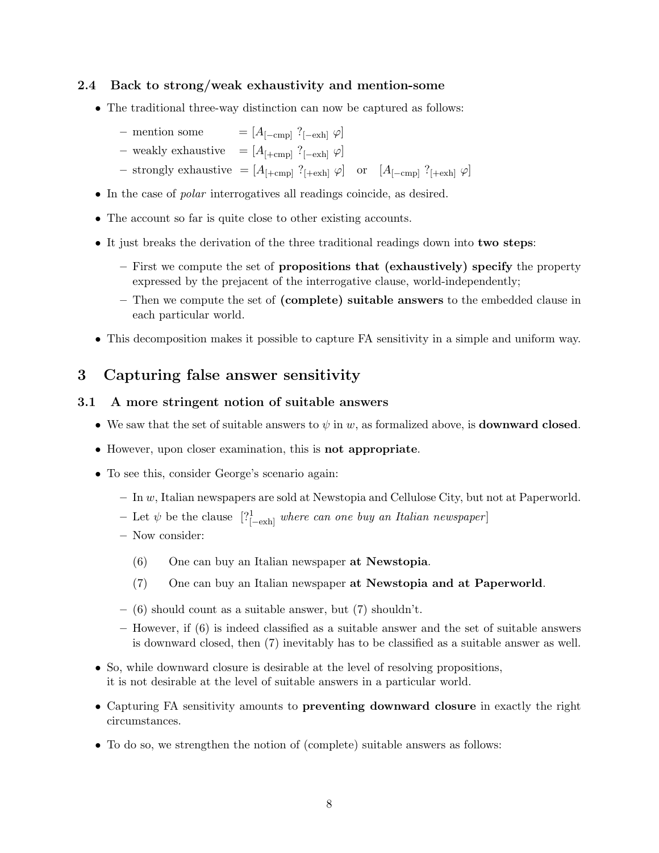## 2.4 Back to strong/weak exhaustivity and mention-some

- The traditional three-way distinction can now be captured as follows:
	- mention some =  $[A_{[-cmn]}$  ?<sub>[−exh]</sub>  $\varphi]$
	- weakly exhaustive =  $[A<sub>1</sub>+cm<sub>D</sub>]$  ?<sub>[−exh]</sub>  $\varphi$ ]
	- strongly exhaustive =  $[A_{[+cmp]}$  ?<sub>[+exh]</sub>  $\varphi]$  or  $[A_{[-cmp]}$  ?<sub>[+exh]</sub>  $\varphi]$
- In the case of polar interrogatives all readings coincide, as desired.
- The account so far is quite close to other existing accounts.
- It just breaks the derivation of the three traditional readings down into two steps:
	- First we compute the set of propositions that (exhaustively) specify the property expressed by the prejacent of the interrogative clause, world-independently;
	- Then we compute the set of (complete) suitable answers to the embedded clause in each particular world.
- This decomposition makes it possible to capture FA sensitivity in a simple and uniform way.

# 3 Capturing false answer sensitivity

## 3.1 A more stringent notion of suitable answers

- We saw that the set of suitable answers to  $\psi$  in w, as formalized above, is **downward closed**.
- However, upon closer examination, this is not appropriate.
- To see this, consider George's scenario again:
	- $-$  In  $w$ , Italian newspapers are sold at Newstopia and Cellulose City, but not at Paperworld.
	- $-$  Let  $ψ$  be the clause  $[?^1_{[-\text{exh}]}$  where can one buy an Italian newspaper]
	- Now consider:
		- (6) One can buy an Italian newspaper at Newstopia.
		- (7) One can buy an Italian newspaper at Newstopia and at Paperworld.
	- $-$  (6) should count as a suitable answer, but (7) shouldn't.
	- However, if (6) is indeed classified as a suitable answer and the set of suitable answers is downward closed, then (7) inevitably has to be classified as a suitable answer as well.
- So, while downward closure is desirable at the level of resolving propositions, it is not desirable at the level of suitable answers in a particular world.
- Capturing FA sensitivity amounts to preventing downward closure in exactly the right circumstances.
- To do so, we strengthen the notion of (complete) suitable answers as follows: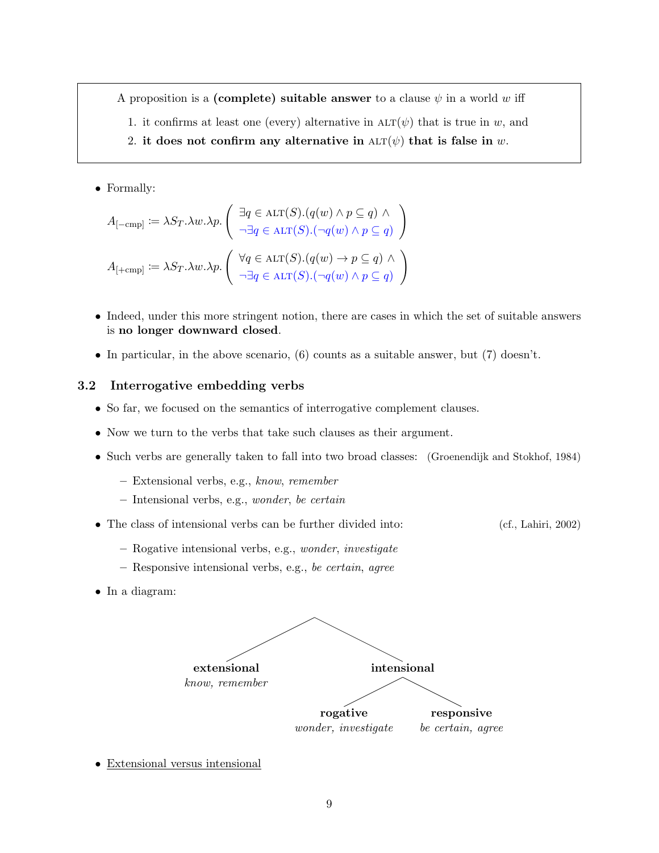A proposition is a (complete) suitable answer to a clause  $\psi$  in a world w iff

- 1. it confirms at least one (every) alternative in  $\text{ALT}(\psi)$  that is true in w, and
- 2. it does not confirm any alternative in  $ALT(\psi)$  that is false in w.

• Formally:

$$
A_{[-\text{cmp}]} := \lambda S_T.\lambda w.\lambda p. \begin{pmatrix} \exists q \in \text{ALT}(S). (q(w) \land p \subseteq q) \land \\ \neg \exists q \in \text{ALT}(S). (\neg q(w) \land p \subseteq q) \end{pmatrix}
$$

$$
A_{[+\text{cmp}]} := \lambda S_T.\lambda w.\lambda p. \begin{pmatrix} \forall q \in \text{ALT}(S). (q(w) \rightarrow p \subseteq q) \land \\ \neg \exists q \in \text{ALT}(S). (\neg q(w) \land p \subseteq q) \end{pmatrix}
$$

- Indeed, under this more stringent notion, there are cases in which the set of suitable answers is no longer downward closed.
- In particular, in the above scenario, (6) counts as a suitable answer, but (7) doesn't.

#### 3.2 Interrogative embedding verbs

- So far, we focused on the semantics of interrogative complement clauses.
- Now we turn to the verbs that take such clauses as their argument.
- Such verbs are generally taken to fall into two broad classes: (Groenendijk and Stokhof, 1984)
	- Extensional verbs, e.g., know, remember
	- Intensional verbs, e.g., wonder, be certain
- The class of intensional verbs can be further divided into: (cf., Lahiri, 2002)
	- Rogative intensional verbs, e.g., wonder, investigate
	- Responsive intensional verbs, e.g., be certain, agree
- In a diagram:



• Extensional versus intensional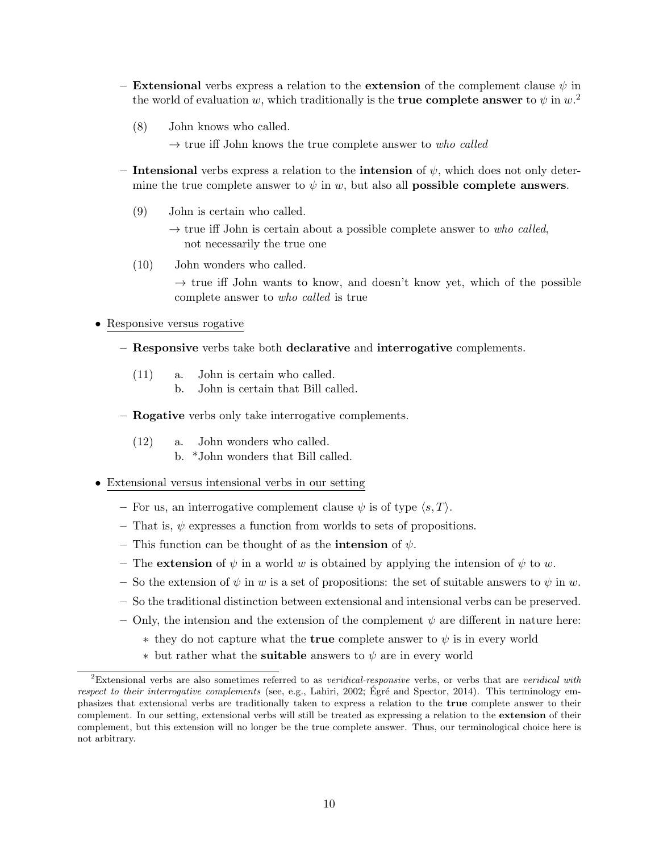- Extensional verbs express a relation to the extension of the complement clause  $\psi$  in the world of evaluation w, which traditionally is the **true complete answer** to  $\psi$  in  $w$ .<sup>2</sup>
	- (8) John knows who called.
		- $\rightarrow$  true iff John knows the true complete answer to who called
- Intensional verbs express a relation to the intension of  $\psi$ , which does not only determine the true complete answer to  $\psi$  in w, but also all **possible complete answers**.
	- (9) John is certain who called.
		- $\rightarrow$  true iff John is certain about a possible complete answer to who called, not necessarily the true one
	- (10) John wonders who called.

 $\rightarrow$  true iff John wants to know, and doesn't know yet, which of the possible complete answer to who called is true

#### • Responsive versus rogative

- Responsive verbs take both declarative and interrogative complements.
	- (11) a. John is certain who called.
		- b. John is certain that Bill called.
- Rogative verbs only take interrogative complements.
	- (12) a. John wonders who called.
		- b. \*John wonders that Bill called.

### • Extensional versus intensional verbs in our setting

- For us, an interrogative complement clause  $\psi$  is of type  $\langle s, T \rangle$ .
- That is,  $\psi$  expresses a function from worlds to sets of propositions.
- This function can be thought of as the **intension** of  $\psi$ .
- The **extension** of  $\psi$  in a world w is obtained by applying the intension of  $\psi$  to w.
- So the extension of  $\psi$  in w is a set of propositions: the set of suitable answers to  $\psi$  in w.
- So the traditional distinction between extensional and intensional verbs can be preserved.
- Only, the intension and the extension of the complement  $\psi$  are different in nature here:
	- $*$  they do not capture what the **true** complete answer to  $\psi$  is in every world
	- $*$  but rather what the **suitable** answers to  $\psi$  are in every world

<sup>&</sup>lt;sup>2</sup>Extensional verbs are also sometimes referred to as *veridical-responsive* verbs, or verbs that are *veridical with* respect to their interrogative complements (see, e.g., Lahiri, 2002; Égré and Spector, 2014). This terminology emphasizes that extensional verbs are traditionally taken to express a relation to the true complete answer to their complement. In our setting, extensional verbs will still be treated as expressing a relation to the extension of their complement, but this extension will no longer be the true complete answer. Thus, our terminological choice here is not arbitrary.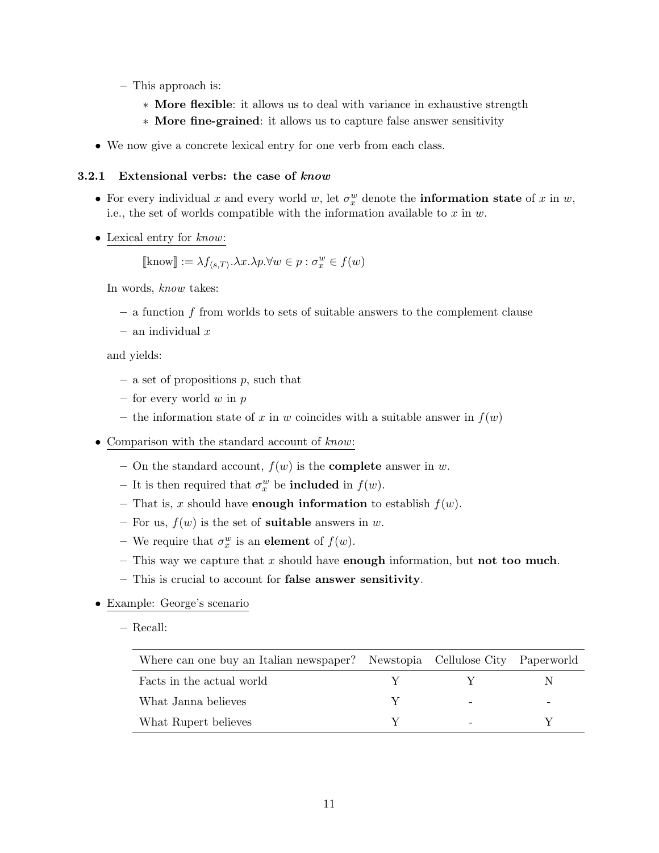- This approach is:
	- ∗ More flexible: it allows us to deal with variance in exhaustive strength
	- ∗ More fine-grained: it allows us to capture false answer sensitivity
- We now give a concrete lexical entry for one verb from each class.

#### 3.2.1 Extensional verbs: the case of know

- For every individual x and every world w, let  $\sigma_x^w$  denote the **information state** of x in w, i.e., the set of worlds compatible with the information available to  $x$  in  $w$ .
- Lexical entry for know:

 $[\text{know}] := \lambda f_{\langle s, T \rangle}.\lambda x.\lambda p.\forall w \in p : \sigma_x^w \in f(w)$ 

In words, know takes:

- $-$  a function f from worlds to sets of suitable answers to the complement clause
- $-$  an individual  $x$

and yields:

- $-$  a set of propositions p, such that
- for every world  $w$  in  $p$
- the information state of x in w coincides with a suitable answer in  $f(w)$
- Comparison with the standard account of know:
	- On the standard account,  $f(w)$  is the **complete** answer in w.
	- It is then required that  $\sigma_x^w$  be **included** in  $f(w)$ .
	- That is, x should have **enough information** to establish  $f(w)$ .
	- For us,  $f(w)$  is the set of **suitable** answers in w.
	- We require that  $\sigma_x^w$  is an **element** of  $f(w)$ .
	- This way we capture that x should have **enough** information, but **not too much**.
	- This is crucial to account for false answer sensitivity.
- Example: George's scenario
	- Recall:

| Where can one buy an Italian newspaper? Newstopia Cellulose City Paperworld |  |  |
|-----------------------------------------------------------------------------|--|--|
| Facts in the actual world                                                   |  |  |
| What Janna believes                                                         |  |  |
| What Rupert believes                                                        |  |  |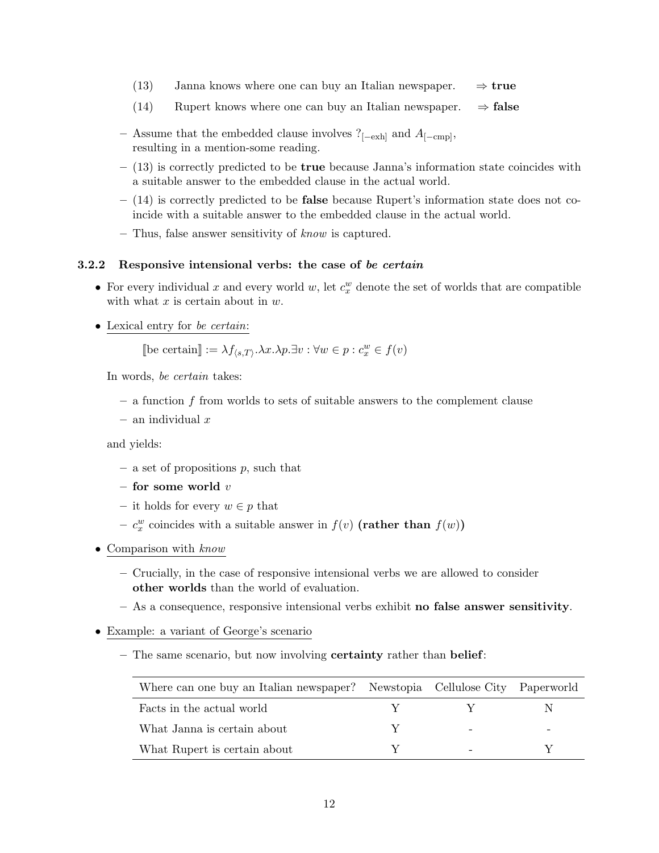- (13) Janna knows where one can buy an Italian newspaper.  $\Rightarrow$  true
- (14) Rupert knows where one can buy an Italian newspaper.  $\Rightarrow$  false
- Assume that the embedded clause involves  $?_{[-\text{exh}]}$  and  $A_{[-\text{cmp}]},$ resulting in a mention-some reading.
- $-$  (13) is correctly predicted to be **true** because Janna's information state coincides with a suitable answer to the embedded clause in the actual world.
- $-$  (14) is correctly predicted to be **false** because Rupert's information state does not coincide with a suitable answer to the embedded clause in the actual world.
- Thus, false answer sensitivity of know is captured.

#### 3.2.2 Responsive intensional verbs: the case of be certain

- For every individual x and every world  $w$ , let  $c_x^w$  denote the set of worlds that are compatible with what  $x$  is certain about in  $w$ .
- Lexical entry for *be certain*:

[be certain] := 
$$
\lambda f_{\langle s,T \rangle} \cdot \lambda x \cdot \lambda p \cdot \exists v : \forall w \in p : c_x^w \in f(v)
$$

In words, be certain takes:

- $-$  a function f from worlds to sets of suitable answers to the complement clause
- $-$  an individual  $x$

and yields:

- $-$  a set of propositions  $p$ , such that
- for some world  $v$
- it holds for every  $w \in p$  that
- $c_x^w$  coincides with a suitable answer in  $f(v)$  (rather than  $f(w)$ )
- Comparison with know
	- Crucially, in the case of responsive intensional verbs we are allowed to consider other worlds than the world of evaluation.
	- As a consequence, responsive intensional verbs exhibit no false answer sensitivity.
- Example: a variant of George's scenario
	- The same scenario, but now involving **certainty** rather than **belief**:

| Where can one buy an Italian newspaper? Newstopia Cellulose City Paperworld |              |   |  |
|-----------------------------------------------------------------------------|--------------|---|--|
| Facts in the actual world                                                   | $\mathbf{Y}$ | Y |  |
| What Janna is certain about                                                 |              |   |  |
| What Rupert is certain about                                                |              |   |  |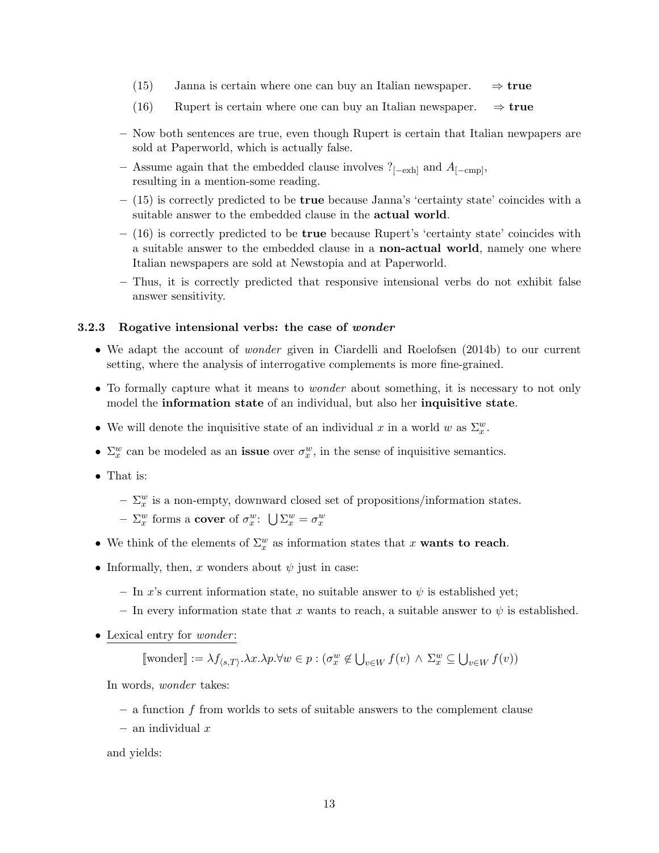- (15) Janna is certain where one can buy an Italian newspaper.  $\Rightarrow$  true
- (16) Rupert is certain where one can buy an Italian newspaper.  $\Rightarrow$  true
- Now both sentences are true, even though Rupert is certain that Italian newpapers are sold at Paperworld, which is actually false.
- Assume again that the embedded clause involves  $?_{[-\text{exh}]}$  and  $A_{[-\text{cmp}]}$ , resulting in a mention-some reading.
- (15) is correctly predicted to be true because Janna's 'certainty state' coincides with a suitable answer to the embedded clause in the actual world.
- $-$  (16) is correctly predicted to be **true** because Rupert's 'certainty state' coincides with a suitable answer to the embedded clause in a non-actual world, namely one where Italian newspapers are sold at Newstopia and at Paperworld.
- Thus, it is correctly predicted that responsive intensional verbs do not exhibit false answer sensitivity.

#### 3.2.3 Rogative intensional verbs: the case of wonder

- We adapt the account of *wonder* given in Ciardelli and Roelofsen (2014b) to our current setting, where the analysis of interrogative complements is more fine-grained.
- To formally capture what it means to *wonder* about something, it is necessary to not only model the information state of an individual, but also her inquisitive state.
- We will denote the inquisitive state of an individual x in a world w as  $\Sigma_x^w$ .
- $\Sigma_x^w$  can be modeled as an **issue** over  $\sigma_x^w$ , in the sense of inquisitive semantics.
- That is:
	- $-\sum_{x}^{w}$  is a non-empty, downward closed set of propositions/information states.
	- $\Sigma_x^w$  forms a cover of  $\sigma_x^w$ :  $\bigcup \Sigma_x^w = \sigma_x^w$
- We think of the elements of  $\Sigma_x^w$  as information states that x **wants to reach**.
- Informally, then, x wonders about  $\psi$  just in case:
	- In x's current information state, no suitable answer to  $\psi$  is established yet;
	- In every information state that x wants to reach, a suitable answer to  $\psi$  is established.
- Lexical entry for *wonder*:

 $[\![\text{wonder}]\!] := \lambda f_{\langle s, T \rangle} \cdot \lambda x \cdot \lambda p \cdot \forall w \in p : (\sigma_x^w \notin \bigcup_{v \in W} f(v) \land \Sigma_x^w \subseteq \bigcup_{v \in W} f(v))$ 

In words, wonder takes:

- $-$  a function f from worlds to sets of suitable answers to the complement clause
- $-$  an individual  $x$

and yields: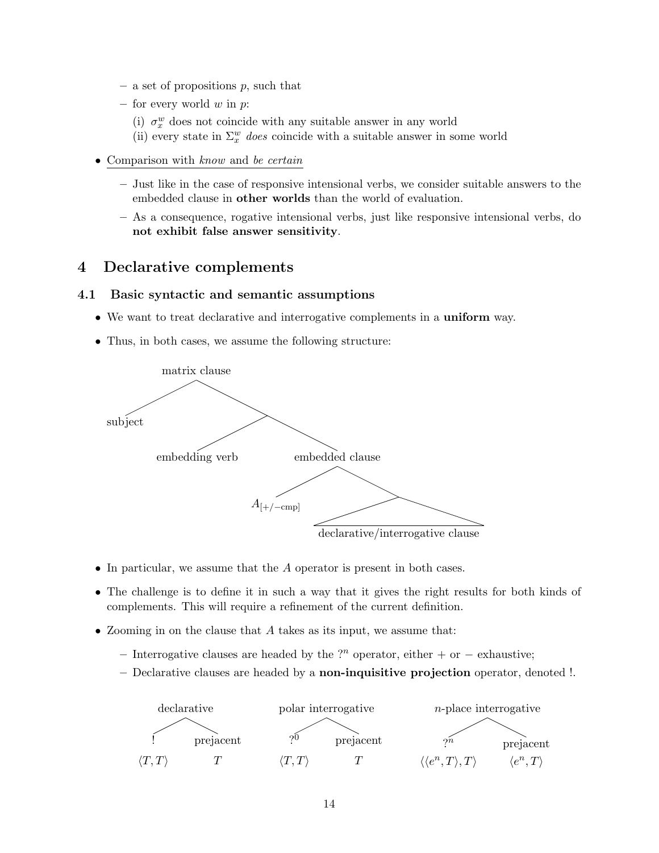- a set of propositions  $p$ , such that
- for every world  $w$  in  $p$ :
	- (i)  $\sigma_x^w$  does not coincide with any suitable answer in any world
	- (ii) every state in  $\Sigma^w_x$  does coincide with a suitable answer in some world
- Comparison with know and be certain
	- Just like in the case of responsive intensional verbs, we consider suitable answers to the embedded clause in other worlds than the world of evaluation.
	- As a consequence, rogative intensional verbs, just like responsive intensional verbs, do not exhibit false answer sensitivity.

# 4 Declarative complements

### 4.1 Basic syntactic and semantic assumptions

- We want to treat declarative and interrogative complements in a **uniform** way.
- Thus, in both cases, we assume the following structure:



- In particular, we assume that the A operator is present in both cases.
- The challenge is to define it in such a way that it gives the right results for both kinds of complements. This will require a refinement of the current definition.
- Zooming in on the clause that A takes as its input, we assume that:
	- Interrogative clauses are headed by the ?<sup>n</sup> operator, either + or − exhaustive;
	- Declarative clauses are headed by a non-inquisitive projection operator, denoted !.

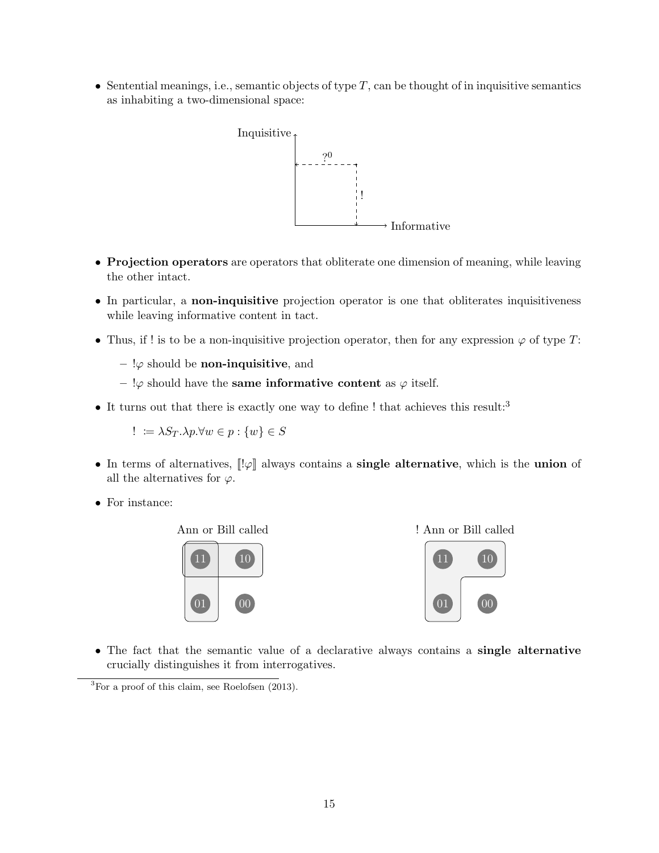• Sentential meanings, i.e., semantic objects of type  $T$ , can be thought of in inquisitive semantics as inhabiting a two-dimensional space:



- Projection operators are operators that obliterate one dimension of meaning, while leaving the other intact.
- In particular, a non-inquisitive projection operator is one that obliterates inquisitiveness while leaving informative content in tact.
- Thus, if ! is to be a non-inquisitive projection operator, then for any expression  $\varphi$  of type T:
	- $-$  ! $\varphi$  should be **non-inquisitive**, and
	- $\varphi$  should have the **same informative content** as  $\varphi$  itself.
- It turns out that there is exactly one way to define ! that achieves this result:<sup>3</sup>

$$
! := \lambda S_T.\lambda p.\forall w \in p : \{w\} \in S
$$

- In terms of alternatives,  $\left[\lVert \varphi \right]$  always contains a **single alternative**, which is the **union** of all the alternatives for  $\varphi$ .
- For instance:



! Ann or Bill called



• The fact that the semantic value of a declarative always contains a single alternative crucially distinguishes it from interrogatives.

<sup>3</sup>For a proof of this claim, see Roelofsen (2013).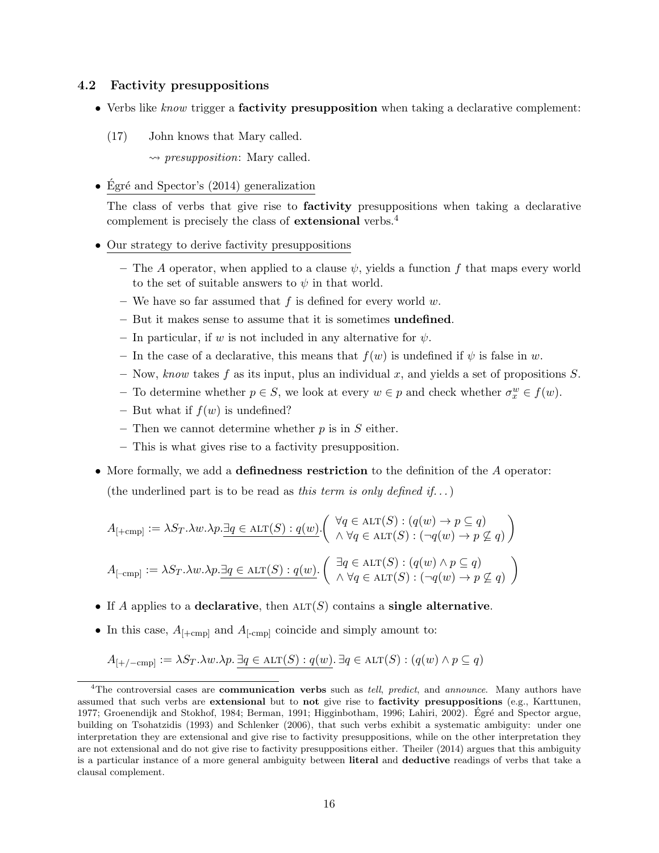### 4.2 Factivity presuppositions

- Verbs like know trigger a **factivity presupposition** when taking a declarative complement:
	- (17) John knows that Mary called.

 $\rightarrow$  presupposition: Mary called.

• Égré and Spector's  $(2014)$  generalization

The class of verbs that give rise to **factivity** presuppositions when taking a declarative complement is precisely the class of **extensional** verbs.<sup>4</sup>

- Our strategy to derive factivity presuppositions
	- The A operator, when applied to a clause  $\psi$ , yields a function f that maps every world to the set of suitable answers to  $\psi$  in that world.
	- We have so far assumed that  $f$  is defined for every world  $w$ .
	- But it makes sense to assume that it is sometimes undefined.
	- In particular, if w is not included in any alternative for  $\psi$ .
	- In the case of a declarative, this means that  $f(w)$  is undefined if  $\psi$  is false in w.
	- Now, know takes f as its input, plus an individual x, and yields a set of propositions  $S$ .
	- To determine whether *p* ∈ *S*, we look at every *w* ∈ *p* and check whether  $σ_x^w ∈ f(w)$ .
	- But what if  $f(w)$  is undefined?
	- Then we cannot determine whether  $p$  is in  $S$  either.
	- This is what gives rise to a factivity presupposition.
- More formally, we add a definedness restriction to the definition of the A operator: (the underlined part is to be read as this term is only defined if...)

$$
A_{[+\text{cmp}]} := \lambda S_T \cdot \lambda w \cdot \lambda p \cdot \exists q \in \text{ALT}(S) : q(w) \cdot \begin{pmatrix} \forall q \in \text{ALT}(S) : (q(w) \to p \subseteq q) \\ \wedge \forall q \in \text{ALT}(S) : (\neg q(w) \to p \not\subseteq q) \end{pmatrix}
$$

$$
A_{[-\text{cmp}]} := \lambda S_T \cdot \lambda w \cdot \lambda p \cdot \exists q \in \text{ALT}(S) : q(w) \cdot \begin{pmatrix} \exists q \in \text{ALT}(S) : (q(w) \land p \subseteq q) \\ \wedge \forall q \in \text{ALT}(S) : (q(w) \to p \not\subseteq q) \end{pmatrix}
$$

- If A applies to a declarative, then  $\text{ALT}(S)$  contains a single alternative.
- In this case,  $A_{[+cmp]}$  and  $A_{[-cmp]}$  coincide and simply amount to:

$$
A_{[+/-cmp]} := \lambda S_T. \lambda w.\lambda p.\exists q \in \text{ALT}(S) : q(w). \exists q \in \text{ALT}(S) : (q(w) \land p \subseteq q)
$$

 $4$ The controversial cases are **communication verbs** such as *tell, predict,* and *announce*. Many authors have assumed that such verbs are extensional but to not give rise to factivity presuppositions (e.g., Karttunen, 1977; Groenendijk and Stokhof, 1984; Berman, 1991; Higginbotham, 1996; Lahiri, 2002). Egré and Spector argue, building on Tsohatzidis (1993) and Schlenker (2006), that such verbs exhibit a systematic ambiguity: under one interpretation they are extensional and give rise to factivity presuppositions, while on the other interpretation they are not extensional and do not give rise to factivity presuppositions either. Theiler (2014) argues that this ambiguity is a particular instance of a more general ambiguity between literal and deductive readings of verbs that take a clausal complement.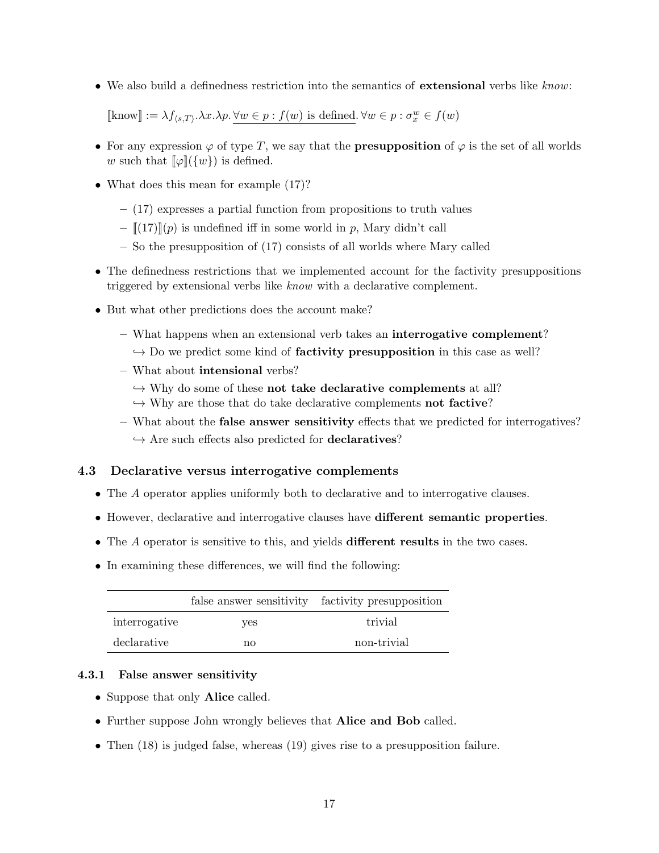• We also build a definedness restriction into the semantics of **extensional** verbs like know:

 $[\text{know}] := \lambda f_{\langle s, T \rangle} \cdot \lambda x. \lambda p. \forall w \in p : f(w) \text{ is defined. } \forall w \in p : \sigma_x^w \in f(w)$ 

- For any expression  $\varphi$  of type T, we say that the **presupposition** of  $\varphi$  is the set of all worlds w such that  $\llbracket \varphi \rrbracket(\{w\})$  is defined.
- What does this mean for example  $(17)$ ?
	- (17) expresses a partial function from propositions to truth values
	- $\langle \cdot |(17) \cdot \cdot |(p) \cdot \cdot |(p) \cdot \cdot |(p) \cdot \cdot |(p) \cdot \cdot |(p) \cdot \cdot \cdot |(p) \cdot \cdot \cdot |(p) \cdot \cdot \cdot |(p) \cdot \cdot \cdot |(p) \cdot \cdot \cdot |(p) \cdot \cdot \cdot |(p) \cdot \cdot \cdot |(p) \cdot \cdot \cdot |(p) \cdot \cdot \cdot |(p) \cdot \cdot \cdot |(p) \cdot \cdot \cdot |(p) \cdot \cdot \cdot |(p) \cdot \cdot \cdot |(p) \cdot \cdot \cdot |(p) \cdot \cdot \cdot |(p) \cdot \cdot \cdot |(p) \cdot \cdot \cdot |$
	- So the presupposition of (17) consists of all worlds where Mary called
- The definedness restrictions that we implemented account for the factivity presuppositions triggered by extensional verbs like know with a declarative complement.
- But what other predictions does the account make?
	- What happens when an extensional verb takes an interrogative complement?  $\rightarrow$  Do we predict some kind of **factivity presupposition** in this case as well?
	- What about intensional verbs?
		- $\hookrightarrow$  Why do some of these not take declarative complements at all?
		- $\hookrightarrow$  Why are those that do take declarative complements **not factive**?
	- What about the false answer sensitivity effects that we predicted for interrogatives?  $\hookrightarrow$  Are such effects also predicted for **declaratives**?

## 4.3 Declarative versus interrogative complements

- The A operator applies uniformly both to declarative and to interrogative clauses.
- However, declarative and interrogative clauses have different semantic properties.
- The A operator is sensitive to this, and yields **different results** in the two cases.
- In examining these differences, we will find the following:

|               |     | false answer sensitivity factivity presupposition |
|---------------|-----|---------------------------------------------------|
| interrogative | ves | trivial                                           |
| declarative   | no  | non-trivial                                       |

### 4.3.1 False answer sensitivity

- Suppose that only **Alice** called.
- Further suppose John wrongly believes that Alice and Bob called.
- Then (18) is judged false, whereas (19) gives rise to a presupposition failure.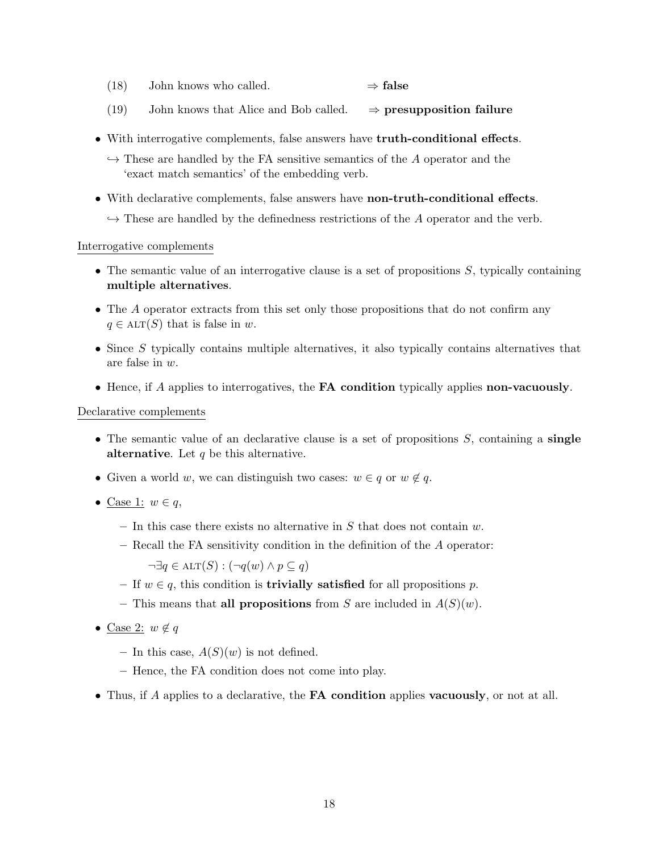- (18) John knows who called.  $\Rightarrow$  false
- (19) John knows that Alice and Bob called.  $\Rightarrow$  presupposition failure
- With interrogative complements, false answers have truth-conditional effects.
	- $\hookrightarrow$  These are handled by the FA sensitive semantics of the A operator and the 'exact match semantics' of the embedding verb.
- With declarative complements, false answers have **non-truth-conditional effects**.
	- $\rightarrow$  These are handled by the definedness restrictions of the A operator and the verb.

#### Interrogative complements

- The semantic value of an interrogative clause is a set of propositions  $S$ , typically containing multiple alternatives.
- The A operator extracts from this set only those propositions that do not confirm any  $q \in \text{ALT}(S)$  that is false in w.
- Since  $S$  typically contains multiple alternatives, it also typically contains alternatives that are false in w.
- Hence, if A applies to interrogatives, the **FA condition** typically applies **non-vacuously**.

### Declarative complements

- The semantic value of an declarative clause is a set of propositions  $S$ , containing a single alternative. Let  $q$  be this alternative.
- Given a world w, we can distinguish two cases:  $w \in q$  or  $w \notin q$ .
- Case 1:  $w \in q$ ,
	- In this case there exists no alternative in  $S$  that does not contain  $w$ .
	- Recall the FA sensitivity condition in the definition of the A operator:

 $\neg \exists q \in \text{ALT}(S) : (\neg q(w) \land p \subseteq q)$ 

- If  $w \in q$ , this condition is **trivially satisfied** for all propositions p.
- This means that all propositions from S are included in  $A(S)(w)$ .
- Case 2:  $w \notin q$ 
	- In this case,  $A(S)(w)$  is not defined.
	- Hence, the FA condition does not come into play.
- Thus, if A applies to a declarative, the **FA condition** applies **vacuously**, or not at all.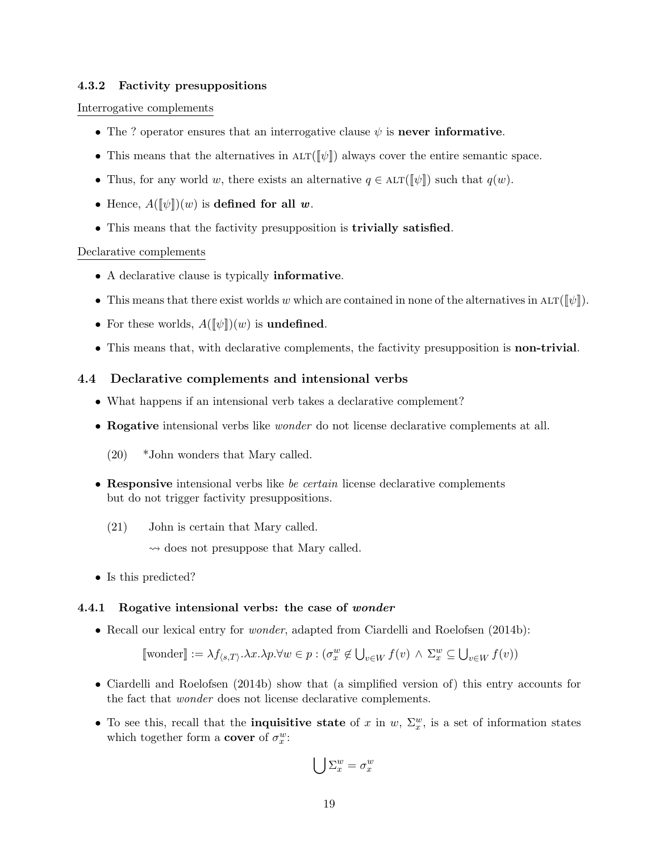### 4.3.2 Factivity presuppositions

#### Interrogative complements

- The ? operator ensures that an interrogative clause  $\psi$  is never informative.
- This means that the alternatives in  $\mathrm{ALT}(\llbracket \psi \rrbracket)$  always cover the entire semantic space.
- Thus, for any world w, there exists an alternative  $q \in \text{ALT}(\llbracket \psi \rrbracket)$  such that  $q(w)$ .
- Hence,  $A(\llbracket \psi \rrbracket)(w)$  is defined for all w.
- This means that the factivity presupposition is trivially satisfied.

#### Declarative complements

- A declarative clause is typically informative.
- This means that there exist worlds w which are contained in none of the alternatives in  $ALT([\psi])$ .
- For these worlds,  $A([\![\psi]\!])(w)$  is **undefined**.
- This means that, with declarative complements, the factivity presupposition is non-trivial.

#### 4.4 Declarative complements and intensional verbs

- What happens if an intensional verb takes a declarative complement?
- Rogative intensional verbs like wonder do not license declarative complements at all.
	- (20) \*John wonders that Mary called.
- Responsive intensional verbs like be certain license declarative complements but do not trigger factivity presuppositions.
	- (21) John is certain that Mary called.
		- $\rightsquigarrow$  does not presuppose that Mary called.
- Is this predicted?

#### 4.4.1 Rogative intensional verbs: the case of wonder

• Recall our lexical entry for *wonder*, adapted from Ciardelli and Roelofsen (2014b):

$$
\llbracket \text{wonder} \rrbracket := \lambda f_{\langle s, T \rangle} \cdot \lambda x. \lambda p. \forall w \in p : (\sigma_x^w \notin \bigcup_{v \in W} f(v) \land \Sigma_x^w \subseteq \bigcup_{v \in W} f(v))
$$

- Ciardelli and Roelofsen (2014b) show that (a simplified version of) this entry accounts for the fact that wonder does not license declarative complements.
- To see this, recall that the **inquisitive state** of x in w,  $\Sigma_x^w$ , is a set of information states which together form a **cover** of  $\sigma_x^w$ :

$$
\bigcup \Sigma^w_x = \sigma^w_x
$$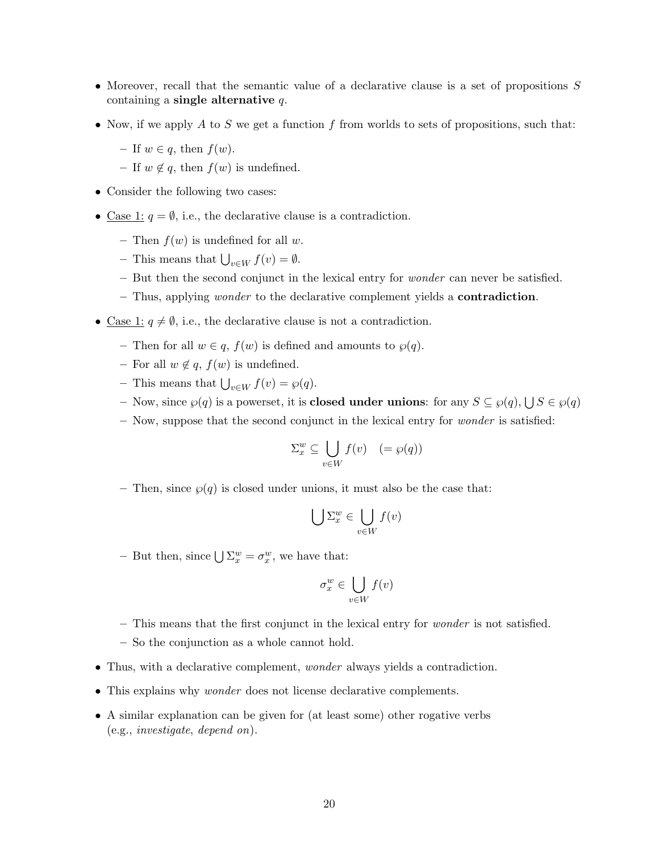- Moreover, recall that the semantic value of a declarative clause is a set of propositions S containing a single alternative  $q$ .
- Now, if we apply A to S we get a function f from worlds to sets of propositions, such that:
	- If  $w \in q$ , then  $f(w)$ .
	- If  $w \notin q$ , then  $f(w)$  is undefined.
- Consider the following two cases:
- <u>Case 1</u>:  $q = \emptyset$ , i.e., the declarative clause is a contradiction.
	- Then  $f(w)$  is undefined for all w.
	- This means that  $\bigcup_{v \in W} f(v) = \emptyset$ .
	- But then the second conjunct in the lexical entry for wonder can never be satisfied.
	- Thus, applying wonder to the declarative complement yields a contradiction.
- Case 1:  $q \neq \emptyset$ , i.e., the declarative clause is not a contradiction.
	- Then for all  $w \in q$ ,  $f(w)$  is defined and amounts to  $\wp(q)$ .
	- For all  $w \notin q$ ,  $f(w)$  is undefined.
	- This means that  $\bigcup_{v \in W} f(v) = \wp(q)$ .
	- Now, since  $\wp(q)$  is a powerset, it is **closed under unions**: for any  $S \subseteq \wp(q)$ ,  $\bigcup S \in \wp(q)$
	- $-$  Now, suppose that the second conjunct in the lexical entry for *wonder* is satisfied:

$$
\Sigma_x^w \subseteq \bigcup_{v \in W} f(v) \quad (=\wp(q))
$$

– Then, since  $\wp(q)$  is closed under unions, it must also be the case that:

$$
\bigcup \Sigma_x^w \in \bigcup_{v \in W} f(v)
$$

- But then, since  $\bigcup \Sigma_x^w = \sigma_x^w$ , we have that:

$$
\sigma_x^w \in \bigcup_{v \in W} f(v)
$$

- This means that the first conjunct in the lexical entry for wonder is not satisfied.
- So the conjunction as a whole cannot hold.
- Thus, with a declarative complement, *wonder* always yields a contradiction.
- This explains why *wonder* does not license declarative complements.
- A similar explanation can be given for (at least some) other rogative verbs (e.g., investigate, depend on).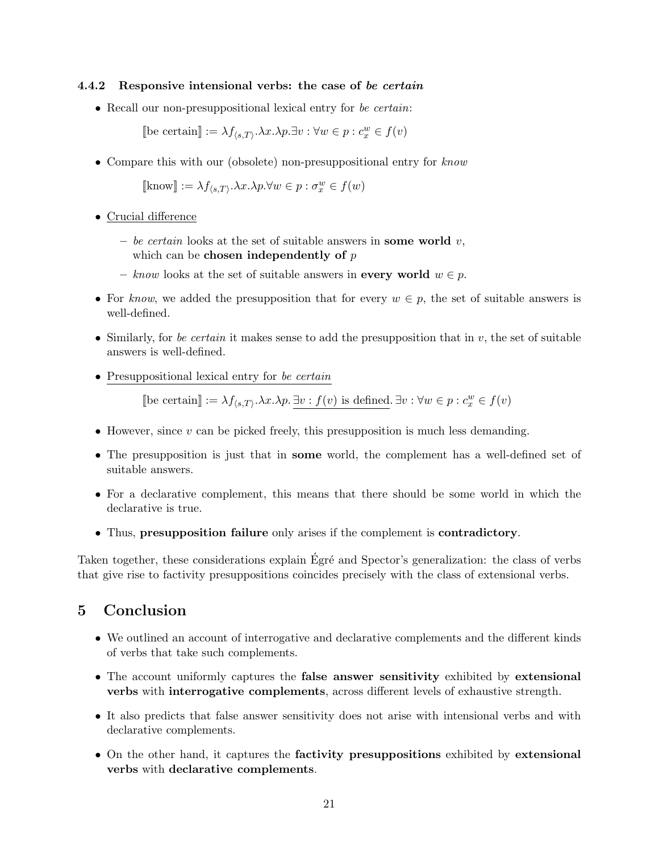#### 4.4.2 Responsive intensional verbs: the case of be certain

• Recall our non-presuppositional lexical entry for be certain:

[be certain]  $:= \lambda f_{\langle s, T \rangle} \cdot \lambda x \cdot \lambda p \cdot \exists v : \forall w \in p : c_x^w \in f(v)$ 

• Compare this with our (obsolete) non-presuppositional entry for know

 $[\text{know}] := \lambda f_{\langle s,T \rangle}. \lambda x. \lambda p. \forall w \in p : \sigma_x^w \in f(w)$ 

- Crucial difference
	- be certain looks at the set of suitable answers in some world  $v$ , which can be **chosen independently** of  $p$
	- know looks at the set of suitable answers in **every world**  $w \in p$ .
- For know, we added the presupposition that for every  $w \in p$ , the set of suitable answers is well-defined.
- Similarly, for be certain it makes sense to add the presupposition that in  $v$ , the set of suitable answers is well-defined.
- Presuppositional lexical entry for be certain

[be certain]  $:= \lambda f_{\langle s, T \rangle} \cdot \lambda x \cdot \lambda p \cdot \exists v : f(v)$  is defined.  $\exists v : \forall w \in p : c_x^w \in f(v)$ 

- However, since  $v$  can be picked freely, this presupposition is much less demanding.
- The presupposition is just that in some world, the complement has a well-defined set of suitable answers.
- For a declarative complement, this means that there should be some world in which the declarative is true.
- Thus, presupposition failure only arises if the complement is contradictory.

Taken together, these considerations explain Égré and Spector's generalization: the class of verbs that give rise to factivity presuppositions coincides precisely with the class of extensional verbs.

# 5 Conclusion

- We outlined an account of interrogative and declarative complements and the different kinds of verbs that take such complements.
- The account uniformly captures the **false answer sensitivity** exhibited by **extensional** verbs with interrogative complements, across different levels of exhaustive strength.
- It also predicts that false answer sensitivity does not arise with intensional verbs and with declarative complements.
- On the other hand, it captures the factivity presuppositions exhibited by extensional verbs with declarative complements.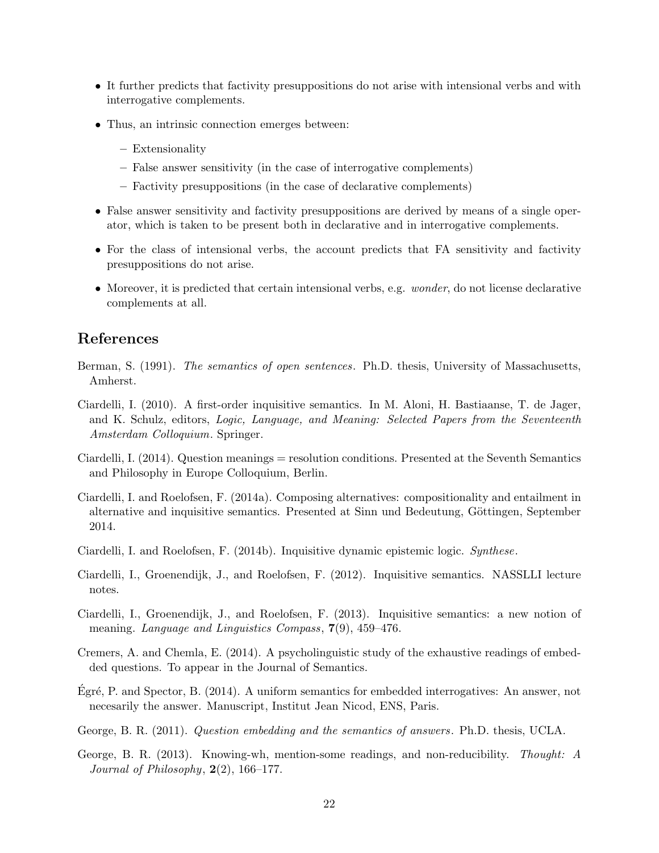- It further predicts that factivity presuppositions do not arise with intensional verbs and with interrogative complements.
- Thus, an intrinsic connection emerges between:
	- Extensionality
	- False answer sensitivity (in the case of interrogative complements)
	- Factivity presuppositions (in the case of declarative complements)
- False answer sensitivity and factivity presuppositions are derived by means of a single operator, which is taken to be present both in declarative and in interrogative complements.
- For the class of intensional verbs, the account predicts that FA sensitivity and factivity presuppositions do not arise.
- Moreover, it is predicted that certain intensional verbs, e.g. *wonder*, do not license declarative complements at all.

## References

- Berman, S. (1991). The semantics of open sentences. Ph.D. thesis, University of Massachusetts, Amherst.
- Ciardelli, I. (2010). A first-order inquisitive semantics. In M. Aloni, H. Bastiaanse, T. de Jager, and K. Schulz, editors, Logic, Language, and Meaning: Selected Papers from the Seventeenth Amsterdam Colloquium. Springer.
- Ciardelli, I. (2014). Question meanings = resolution conditions. Presented at the Seventh Semantics and Philosophy in Europe Colloquium, Berlin.
- Ciardelli, I. and Roelofsen, F. (2014a). Composing alternatives: compositionality and entailment in alternative and inquisitive semantics. Presented at Sinn und Bedeutung, Göttingen, September 2014.
- Ciardelli, I. and Roelofsen, F. (2014b). Inquisitive dynamic epistemic logic. Synthese.
- Ciardelli, I., Groenendijk, J., and Roelofsen, F. (2012). Inquisitive semantics. NASSLLI lecture notes.
- Ciardelli, I., Groenendijk, J., and Roelofsen, F. (2013). Inquisitive semantics: a new notion of meaning. Language and Linguistics Compass, 7(9), 459–476.
- Cremers, A. and Chemla, E. (2014). A psycholinguistic study of the exhaustive readings of embedded questions. To appear in the Journal of Semantics.
- Egré, P. and Spector, B.  $(2014)$ . A uniform semantics for embedded interrogatives: An answer, not necesarily the answer. Manuscript, Institut Jean Nicod, ENS, Paris.
- George, B. R. (2011). Question embedding and the semantics of answers. Ph.D. thesis, UCLA.
- George, B. R. (2013). Knowing-wh, mention-some readings, and non-reducibility. Thought: A Journal of Philosophy,  $2(2)$ , 166-177.